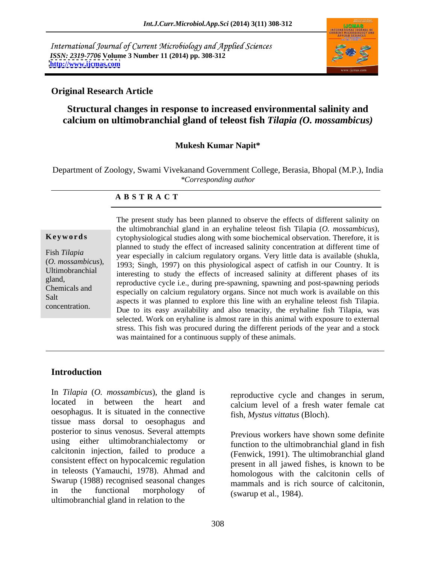International Journal of Current Microbiology and Applied Sciences *ISSN: 2319-7706* **Volume 3 Number 11 (2014) pp. 308-312 <http://www.ijcmas.com>**



## **Original Research Article**

# **Structural changes in response to increased environmental salinity and calcium on ultimobranchial gland of teleost fish** *Tilapia (O. mossambicus)*

### **Mukesh Kumar Napit\***

Department of Zoology, Swami Vivekanand Government College, Berasia, Bhopal (M.P.), India *\*Corresponding author*

### **A B S T R A C T**

**Keywords** cytophysiological studies along with some biochemical observation. Therefore, it is Fish *Tilapia*<br>
year especially in calcium regulatory organs. Very little data is available (shukla, (*O. mossambicus*), 1993; Singh, 1997) on this physiological aspect of catfish in our Country. It is Ultimobranchial interesting to study the effects of increased salinity at different phases of its gland,<br>
reproductive cycle i.e., during pre-spawning, spawning and post-spawning periods Chemicals and especially on calcium regulatory organs. Since not much work is available on this Salt aspects it was planned to explore this line with an eryhaline teleost fish Tilapia. The present study has been planned to observe the effects of different salinity on<br>the ultimobranchial gland in an eryhaline teleost fish Tilapia (*O. mossambicus*),<br>exploration is planned to study the effect of increased the ultimobranchial gland in an eryhaline teleost fish Tilapia (*O. mossambicus*), planned to study the effect of increased salinity concentration at different time of Due to its easy availability and also tenacity, the eryhaline fish Tilapia, was selected. Work on eryhaline is almost rare in this animal with exposure to external stress. This fish was procured during the different periods of the year and a stock was maintained for a continuous supply of these animals.

## **Introduction**

In *Tilapia* (*O. mossambicus*), the gland is located in between the heart and calcium level of a fresh water female cat oesophagus. It is situated in the connective tissue mass dorsal to oesophagus and posterior to sinus venosus. Several attempts using either ultimobranchialectomy or calcitonin injection, failed to produce a consistent effect on hypocalcemic regulation in teleosts (Yamauchi, 1978). Ahmad and Swarup (1988) recognised seasonal changes ultimobranchial gland in relation to the

reproductive cycle and changes in serum, fish, *Mystus vittatus* (Bloch).

in the functional morphology of  $\frac{1}{\text{SWTID}}$  of  $\frac{1}{\text{SWTID}}$  and  $\frac{1}{\text{SWTID}}$  is constructing. Previous workers have shown some definite function to the ultimobranchial gland in fish (Fenwick, 1991). The ultimobranchial gland present in all jawed fishes, is known to be homologous with the calcitonin cells of mammals and is rich source of calcitonin, (swarup et al., 1984).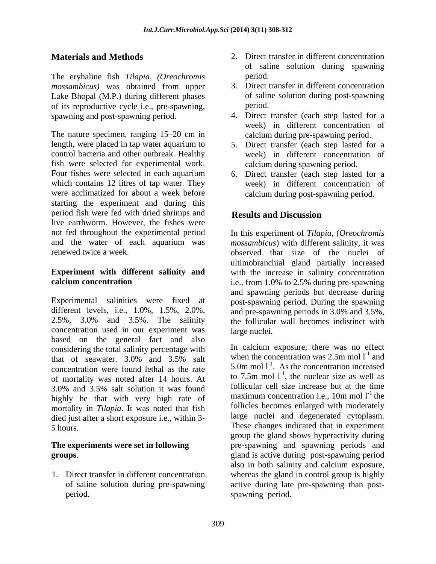The eryhaline fish *Tilapia*, *(Oreochromis mossambicus)* was obtained from upper Lake Bhopal (M.P.) during different phases of its reproductive cycle i.e., pre-spawning, period.<br>spawning and post-spawning period. 4. Direct transfer (each step lasted for a

The nature specimen, ranging 15–20 cm in ealcroanduring pre-spawning period. length, were placed in tap water aquarium to 5. Direct transfer (each step lasted for a control bacteria and other outbreak. Healthy fish were selected for experimental work. Four fishes were selected in each aquarium 6. Direct transfer (each step lasted for a which contains 12 litres of tap water. They were acclimatized for about a week before starting the experiment and during this period fish were fed with dried shrimps and **Results and Discussion** live earthworm. However, the fishes were

Experimental salinities were fixed at post-spawning period. During the spawning different levels, i.e., 1.0%, 1.5%, 2.0%, and pre-spawning periods in 3.0% and 3.5%, 2.5%, 3.0% and 3.5%. The salinity the follicular wall becomes indistinct with concentration used in our experiment was based on the general fact and also considering the total salinity percentage with that of seawater.  $3.0\%$  and  $3.5\%$  salt when the concentration was 2.5m mol 1 and concentration were found lethal as the rate of mortality was noted after 14 hours. At 3.0% and 3.5% salt solution it was found it is to all structure cell size increase but at the time highly he that with very high rate of mortality in *Tilapia*. It was noted that fish died just after a short exposure i.e., within 3-

1. Direct transfer in different concentration whereas the gland in control group is highly

- **Materials and Methods** 2. Direct transfer in different concentration of saline solution during spawning period.
	- 3. Direct transfer in different concentration of saline solution during post-spawning period.
	- 4. Direct transfer (each step lasted for a week) in different concentration of calcium during pre-spawning period.
	- week) in different concentration of calcium during spawning period.
	- week) in different concentration of calcium during post-spawning period.

# **Results and Discussion**

not fed throughout the experimental period In this experiment of *Tilapia*, (*Oreochromis*  and the water of each aquarium was *mossambicus*) with different salinity, it was renewed twice a week. observed that size of the nuclei of **Experiment with different salinity and** with the increase in salinity concentration **calcium concentration i.e., from 1.0% to 2.5% during pre-spawning** ultimobranchial gland partially increased and spawning periods but decrease during large nuclei.

5 hours. These changes indicated that in experiment **The experiments were set in following pre-spawning and spawning periods and groups**. **gland** is active during post-spawning period of saline solution during pre-spawning active during late pre-spawning than post period. spawning period.In calcium exposure, there was no effect when the concentration was  $2.5m$  mol  $l^{-1}$  and and 5.0m mol  $1^{-1}$ . As the concentration increased to 7.5m mol  $1^{-1}$ , the nuclear size as well as follicular cell size increase but at the time maximum concentration i.e., 10m mol  $1<sup>-1</sup>$  the the follicles becomes enlarged with moderately large nuclei and degenerated cytoplasm. group the gland shows hyperactivity during also in both salinity and calcium exposure, whereas the gland in control group is highly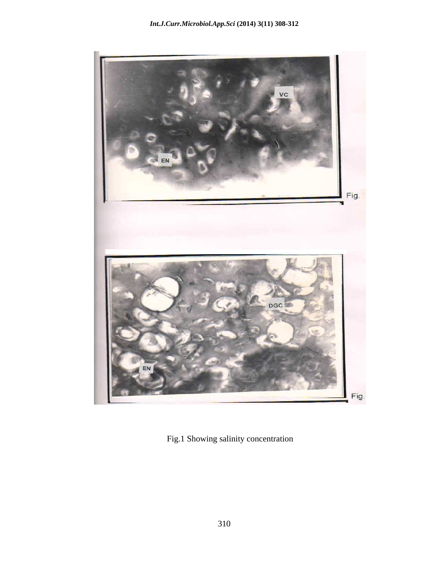

Fig.1 Showing salinity concentration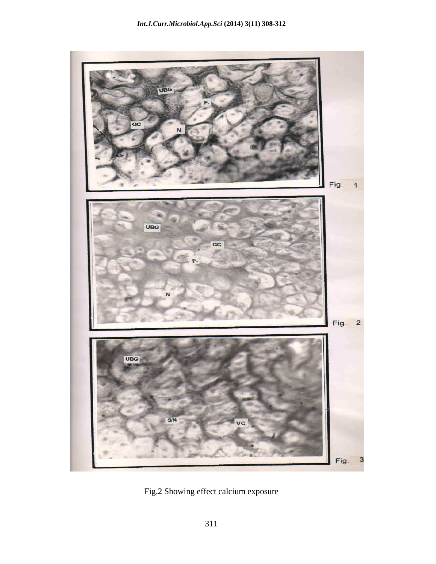

Fig.2 Showing effect calcium exposure